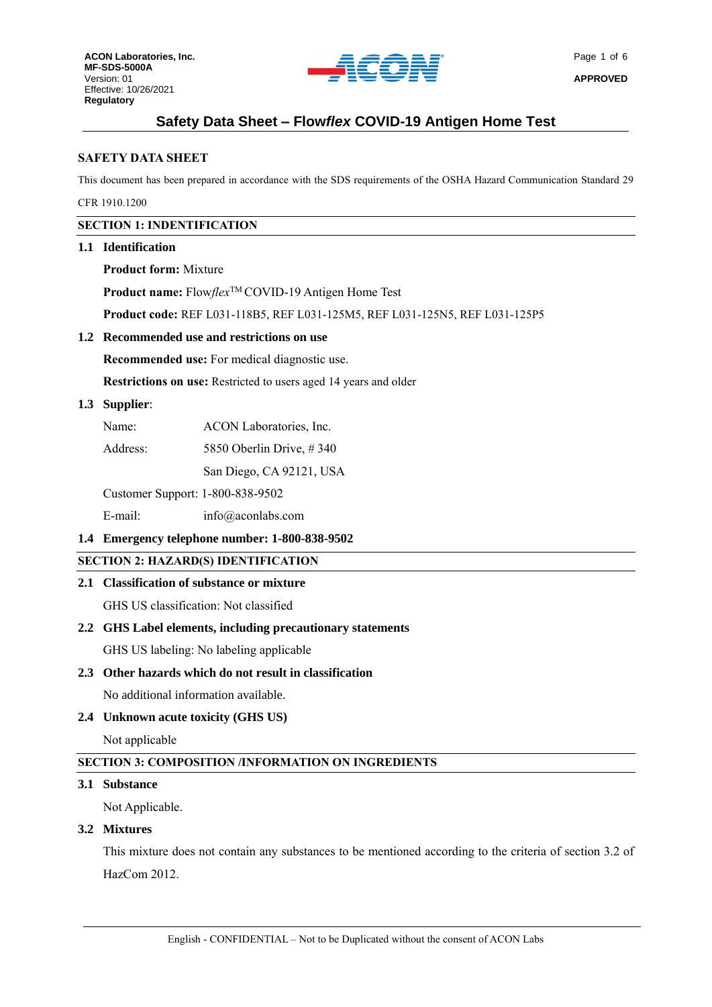

# **SAFETY DATA SHEET**

This document has been prepared in accordance with the SDS requirements of the OSHA Hazard Communication Standard 29

CFR 1910.1200

# **SECTION 1: INDENTIFICATION**

# **1.1 Identification**

**Product form:** Mixture

**Product name:** Flow*flex*TM COVID-19 Antigen Home Test

**Product code:** REF L031-118B5, REF L031-125M5, REF L031-125N5, REF L031-125P5

## **1.2 Recommended use and restrictions on use**

**Recommended use:** For medical diagnostic use.

**Restrictions on use:** Restricted to users aged 14 years and older

## **1.3 Supplier**:

| Name: | ACON Laboratories, Inc. |  |
|-------|-------------------------|--|
|       |                         |  |

Address: 5850 Oberlin Drive, #340

San Diego, CA 92121, USA

Customer Support: 1-800-838-9502

E-mail: info@aconlabs.com

# **1.4 Emergency telephone number: 1-800-838-9502**

# **SECTION 2: HAZARD(S) IDENTIFICATION**

# **2.1 Classification of substance or mixture**

GHS US classification: Not classified

# **2.2 GHS Label elements, including precautionary statements**

GHS US labeling: No labeling applicable

# **2.3 Other hazards which do not result in classification**

No additional information available.

# **2.4 Unknown acute toxicity (GHS US)**

Not applicable

# **SECTION 3: COMPOSITION /INFORMATION ON INGREDIENTS**

#### **3.1 Substance**

Not Applicable.

#### **3.2 Mixtures**

This mixture does not contain any substances to be mentioned according to the criteria of section 3.2 of HazCom 2012.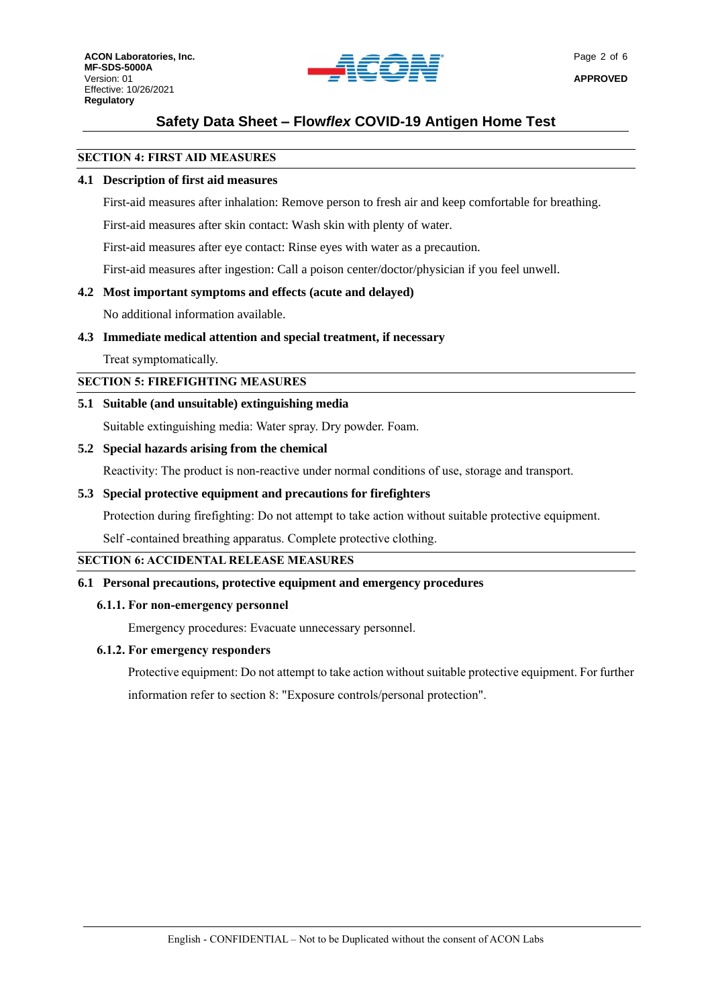

## **SECTION 4: FIRST AID MEASURES**

### **4.1 Description of first aid measures**

First-aid measures after inhalation: Remove person to fresh air and keep comfortable for breathing.

First-aid measures after skin contact: Wash skin with plenty of water.

First-aid measures after eye contact: Rinse eyes with water as a precaution.

First-aid measures after ingestion: Call a poison center/doctor/physician if you feel unwell.

# **4.2 Most important symptoms and effects (acute and delayed)**

No additional information available.

## **4.3 Immediate medical attention and special treatment, if necessary**

Treat symptomatically.

**SECTION 5: FIREFIGHTING MEASURES**

## **5.1 Suitable (and unsuitable) extinguishing media**

Suitable extinguishing media: Water spray. Dry powder. Foam.

## **5.2 Special hazards arising from the chemical**

Reactivity: The product is non-reactive under normal conditions of use, storage and transport.

## **5.3 Special protective equipment and precautions for firefighters**

Protection during firefighting: Do not attempt to take action without suitable protective equipment.

Self -contained breathing apparatus. Complete protective clothing.

#### **SECTION 6: ACCIDENTAL RELEASE MEASURES**

# **6.1 Personal precautions, protective equipment and emergency procedures**

#### **6.1.1. For non-emergency personnel**

Emergency procedures: Evacuate unnecessary personnel.

#### **6.1.2. For emergency responders**

Protective equipment: Do not attempt to take action without suitable protective equipment. For further information refer to section 8: "Exposure controls/personal protection".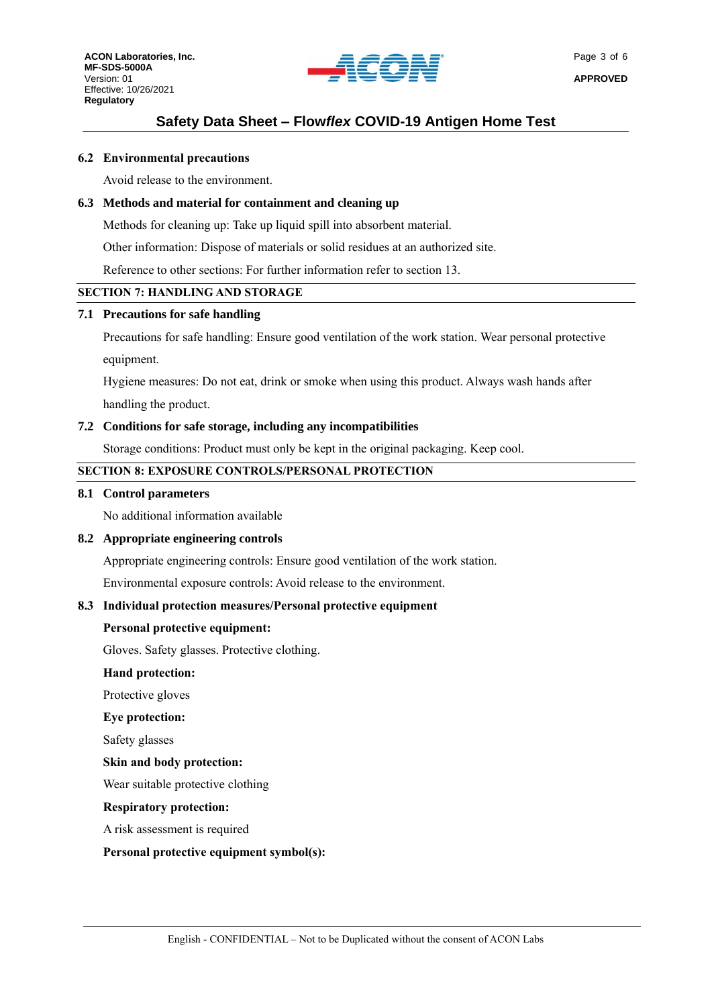

#### **6.2 Environmental precautions**

Avoid release to the environment.

# **6.3 Methods and material for containment and cleaning up**

Methods for cleaning up: Take up liquid spill into absorbent material.

Other information: Dispose of materials or solid residues at an authorized site.

Reference to other sections: For further information refer to section 13.

#### **SECTION 7: HANDLING AND STORAGE**

### **7.1 Precautions for safe handling**

Precautions for safe handling: Ensure good ventilation of the work station. Wear personal protective equipment.

Hygiene measures: Do not eat, drink or smoke when using this product. Always wash hands after handling the product.

#### **7.2 Conditions for safe storage, including any incompatibilities**

Storage conditions: Product must only be kept in the original packaging. Keep cool.

### **SECTION 8: EXPOSURE CONTROLS/PERSONAL PROTECTION**

#### **8.1 Control parameters**

No additional information available

#### **8.2 Appropriate engineering controls**

Appropriate engineering controls: Ensure good ventilation of the work station.

Environmental exposure controls: Avoid release to the environment.

#### **8.3 Individual protection measures/Personal protective equipment**

#### **Personal protective equipment:**

Gloves. Safety glasses. Protective clothing.

#### **Hand protection:**

Protective gloves

#### **Eye protection:**

Safety glasses

#### **Skin and body protection:**

Wear suitable protective clothing

#### **Respiratory protection:**

A risk assessment is required

#### **Personal protective equipment symbol(s):**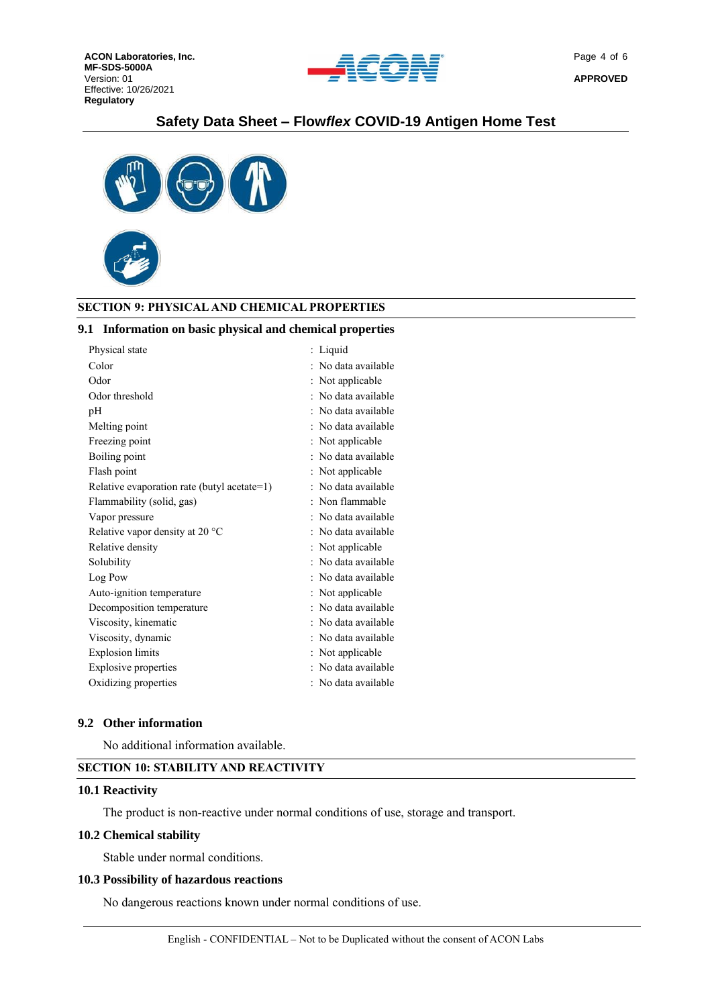



## **SECTION 9: PHYSICAL AND CHEMICAL PROPERTIES**

#### **9.1 Information on basic physical and chemical properties**

| Physical state                              | Liquid              |
|---------------------------------------------|---------------------|
| Color                                       | No data available   |
| Odor                                        | Not applicable      |
| Odor threshold                              | No data available   |
| pH                                          | No data available   |
| Melting point                               | No data available   |
| Freezing point                              | Not applicable      |
| Boiling point                               | No data available   |
| Flash point                                 | Not applicable      |
| Relative evaporation rate (butyl acetate=1) | No data available   |
| Flammability (solid, gas)                   | : Non flammable     |
| Vapor pressure                              | No data available   |
| Relative vapor density at 20 $^{\circ}$ C   | No data available   |
| Relative density                            | Not applicable      |
| Solubility                                  | : No data available |
| Log Pow                                     | No data available   |
| Auto-ignition temperature                   | : Not applicable    |
| Decomposition temperature                   | No data available   |
| Viscosity, kinematic                        | No data available   |
| Viscosity, dynamic                          | : No data available |
| <b>Explosion</b> limits                     | : Not applicable    |
| <b>Explosive properties</b>                 | : No data available |
| Oxidizing properties                        | : No data available |

### **9.2 Other information**

No additional information available.

# **SECTION 10: STABILITY AND REACTIVITY**

#### **10.1 Reactivity**

The product is non-reactive under normal conditions of use, storage and transport.

#### **10.2 Chemical stability**

Stable under normal conditions.

#### **10.3 Possibility of hazardous reactions**

No dangerous reactions known under normal conditions of use.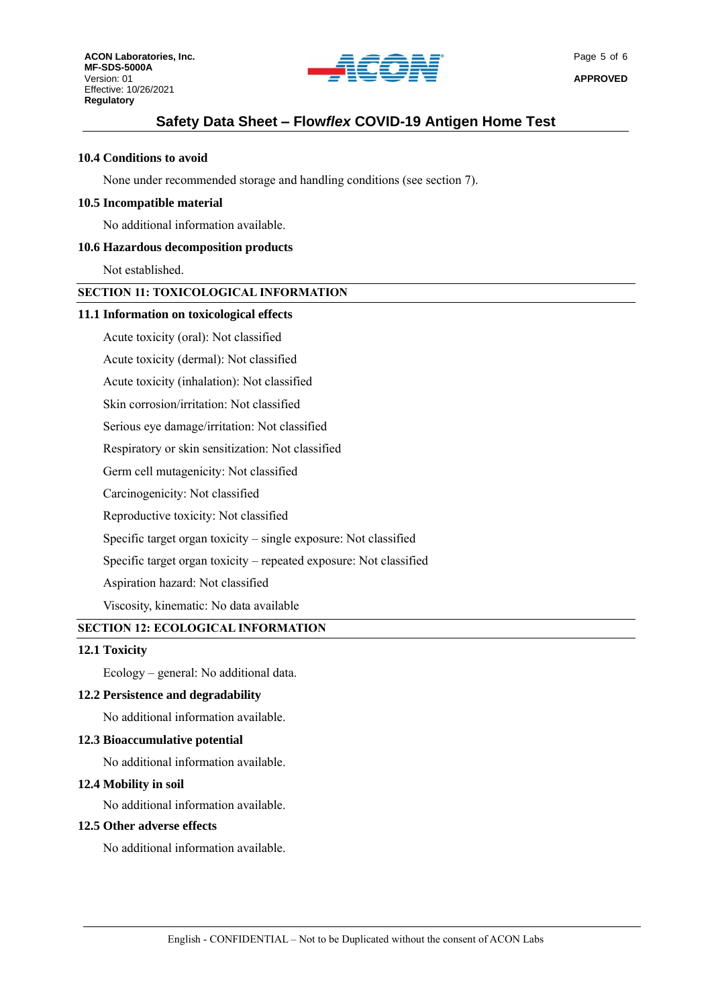

## **10.4 Conditions to avoid**

None under recommended storage and handling conditions (see section 7).

### **10.5 Incompatible material**

No additional information available.

### **10.6 Hazardous decomposition products**

Not established.

# **SECTION 11: TOXICOLOGICAL INFORMATION**

#### **11.1 Information on toxicological effects**

Acute toxicity (oral): Not classified

Acute toxicity (dermal): Not classified

Acute toxicity (inhalation): Not classified

Skin corrosion/irritation: Not classified

Serious eye damage/irritation: Not classified

Respiratory or skin sensitization: Not classified

Germ cell mutagenicity: Not classified

Carcinogenicity: Not classified

Reproductive toxicity: Not classified

Specific target organ toxicity – single exposure: Not classified

Specific target organ toxicity – repeated exposure: Not classified

Aspiration hazard: Not classified

Viscosity, kinematic: No data available

# **SECTION 12: ECOLOGICAL INFORMATION**

### **12.1 Toxicity**

Ecology – general: No additional data.

#### **12.2 Persistence and degradability**

No additional information available.

# **12.3 Bioaccumulative potential**

No additional information available.

#### **12.4 Mobility in soil**

No additional information available.

#### **12.5 Other adverse effects**

No additional information available.